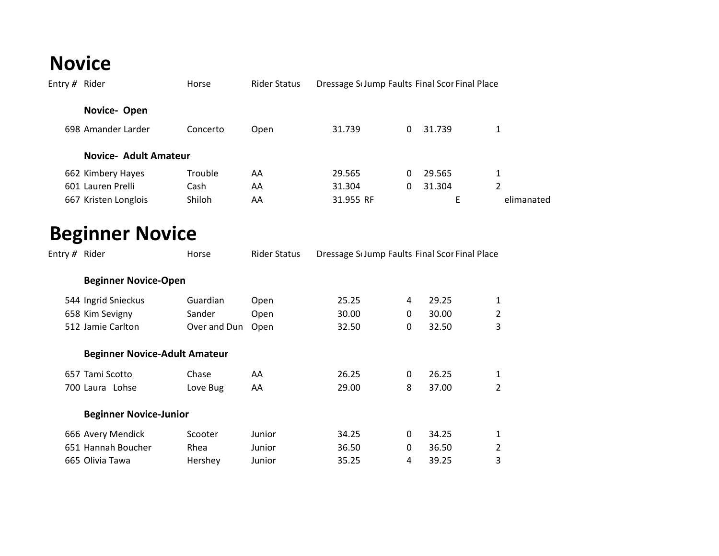## **Novice**

| Entry # Rider |                              | Horse          | <b>Rider Status</b> | Dressage Sc Jump Faults Final Scor Final Place |   |        |            |
|---------------|------------------------------|----------------|---------------------|------------------------------------------------|---|--------|------------|
|               | Novice-Open                  |                |                     |                                                |   |        |            |
|               | 698 Amander Larder           | Concerto       | Open                | 31.739                                         | 0 | 31.739 | 1          |
|               | <b>Novice- Adult Amateur</b> |                |                     |                                                |   |        |            |
|               | 662 Kimbery Hayes            | <b>Trouble</b> | AA                  | 29.565                                         | 0 | 29.565 | 1          |
|               | 601 Lauren Prelli            | Cash           | AA                  | 31.304                                         | 0 | 31.304 | 2          |
|               | 667 Kristen Longlois         | Shiloh         | AA                  | 31.955 RF                                      |   | E      | elimanated |
|               |                              |                |                     |                                                |   |        |            |

## **Beginner Novice**

| Entry # Rider |                                      | Horse        | <b>Rider Status</b> | Dressage Sc Jump Faults Final Scor Final Place |   |       |   |  |
|---------------|--------------------------------------|--------------|---------------------|------------------------------------------------|---|-------|---|--|
|               | <b>Beginner Novice-Open</b>          |              |                     |                                                |   |       |   |  |
|               | 544 Ingrid Snieckus                  | Guardian     | Open                | 25.25                                          | 4 | 29.25 | 1 |  |
|               | 658 Kim Sevigny                      | Sander       | Open                | 30.00                                          | 0 | 30.00 | 2 |  |
|               | 512 Jamie Carlton                    | Over and Dun | Open                | 32.50                                          | 0 | 32.50 | 3 |  |
|               | <b>Beginner Novice-Adult Amateur</b> |              |                     |                                                |   |       |   |  |
|               | 657 Tami Scotto                      | Chase        | AA                  | 26.25                                          | 0 | 26.25 | 1 |  |
|               | 700 Laura Lohse                      | Love Bug     | AA                  | 29.00                                          | 8 | 37.00 | 2 |  |
|               | <b>Beginner Novice-Junior</b>        |              |                     |                                                |   |       |   |  |
|               | 666 Avery Mendick                    | Scooter      | Junior              | 34.25                                          | 0 | 34.25 | 1 |  |
|               | 651 Hannah Boucher                   | Rhea         | Junior              | 36.50                                          | 0 | 36.50 | 2 |  |
|               | 665 Olivia Tawa                      | Hershey      | Junior              | 35.25                                          | 4 | 39.25 | 3 |  |